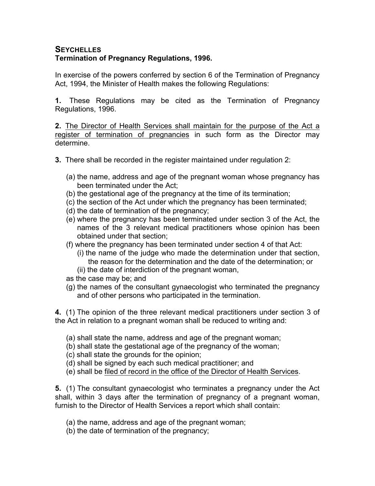## **SEYCHELLES Termination of Pregnancy Regulations, 1996.**

In exercise of the powers conferred by section 6 of the Termination of Pregnancy Act, 1994, the Minister of Health makes the following Regulations:

**1.** These Regulations may be cited as the Termination of Pregnancy Regulations, 1996.

**2.** The Director of Health Services shall maintain for the purpose of the Act a register of termination of pregnancies in such form as the Director may determine.

- **3.** There shall be recorded in the register maintained under regulation 2:
	- (a) the name, address and age of the pregnant woman whose pregnancy has been terminated under the Act;
	- (b) the gestational age of the pregnancy at the time of its termination;
	- (c) the section of the Act under which the pregnancy has been terminated;
	- (d) the date of termination of the pregnancy;
	- (e) where the pregnancy has been terminated under section 3 of the Act, the names of the 3 relevant medical practitioners whose opinion has been obtained under that section;
	- (f) where the pregnancy has been terminated under section 4 of that Act:
		- (i) the name of the judge who made the determination under that section, the reason for the determination and the date of the determination; or (ii) the date of interdiction of the pregnant woman,
	- as the case may be; and
	- (g) the names of the consultant gynaecologist who terminated the pregnancy and of other persons who participated in the termination.

**4.** (1) The opinion of the three relevant medical practitioners under section 3 of the Act in relation to a pregnant woman shall be reduced to writing and:

- (a) shall state the name, address and age of the pregnant woman;
- (b) shall state the gestational age of the pregnancy of the woman;
- (c) shall state the grounds for the opinion;
- (d) shall be signed by each such medical practitioner; and
- (e) shall be filed of record in the office of the Director of Health Services.

**5.** (1) The consultant gynaecologist who terminates a pregnancy under the Act shall, within 3 days after the termination of pregnancy of a pregnant woman, furnish to the Director of Health Services a report which shall contain:

- (a) the name, address and age of the pregnant woman;
- (b) the date of termination of the pregnancy;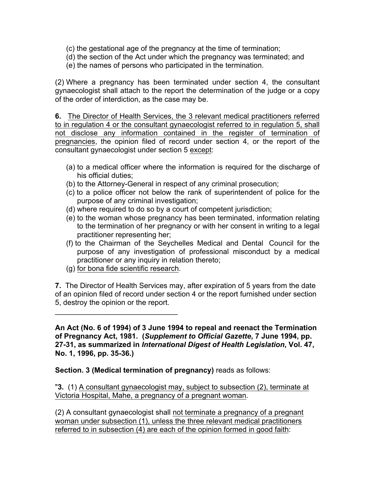- (c) the gestational age of the pregnancy at the time of termination;
- (d) the section of the Act under which the pregnancy was terminated; and
- (e) the names of persons who participated in the termination.

(2) Where a pregnancy has been terminated under section 4, the consultant gynaecologist shall attach to the report the determination of the judge or a copy of the order of interdiction, as the case may be.

**6.** The Director of Health Services, the 3 relevant medical practitioners referred to in regulation 4 or the consultant gynaecologist referred to in regulation 5, shall not disclose any information contained in the register of termination of pregnancies, the opinion filed of record under section 4, or the report of the consultant gynaecologist under section 5 except:

- (a) to a medical officer where the information is required for the discharge of his official duties;
- (b) to the Attorney-General in respect of any criminal prosecution;
- (c) to a police officer not below the rank of superintendent of police for the purpose of any criminal investigation;
- (d) where required to do so by a court of competent jurisdiction;
- (e) to the woman whose pregnancy has been terminated, information relating to the termination of her pregnancy or with her consent in writing to a legal practitioner representing her;
- (f) to the Chairman of the Seychelles Medical and Dental Council for the purpose of any investigation of professional misconduct by a medical practitioner or any inquiry in relation thereto;
- (g) for bona fide scientific research.

 $\mathcal{L}_\text{max}$  and  $\mathcal{L}_\text{max}$  and  $\mathcal{L}_\text{max}$ 

**7.** The Director of Health Services may, after expiration of 5 years from the date of an opinion filed of record under section 4 or the report furnished under section 5, destroy the opinion or the report.

**An Act (No. 6 of 1994) of 3 June 1994 to repeal and reenact the Termination of Pregnancy Act, 1981. (***Supplement to Official Gazette***, 7 June 1994, pp. 27-31, as summarized in** *International Digest of Health Legislation***, Vol. 47, No. 1, 1996, pp. 35-36.)**

**Section. 3 (Medical termination of pregnancy)** reads as follows:

"**3.** (1) A consultant gynaecologist may, subject to subsection (2), terminate at Victoria Hospital, Mahe, a pregnancy of a pregnant woman.

(2) A consultant gynaecologist shall not terminate a pregnancy of a pregnant woman under subsection (1), unless the three relevant medical practitioners referred to in subsection (4) are each of the opinion formed in good faith: